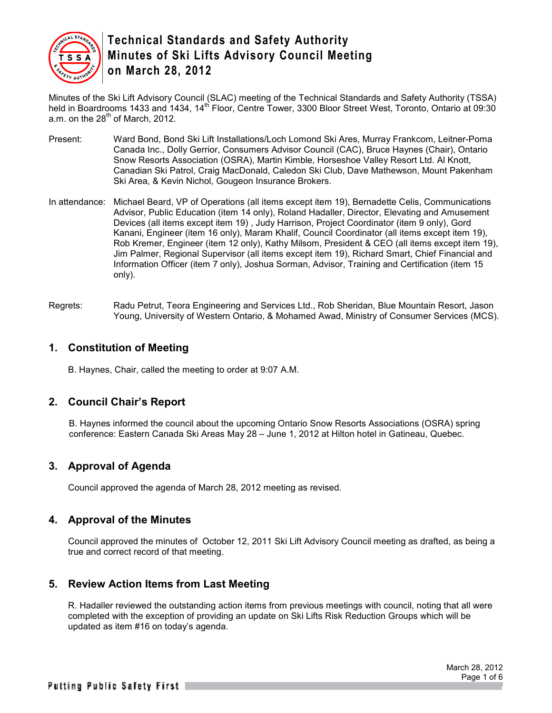

Minutes of the Ski Lift Advisory Council (SLAC) meeting of the Technical Standards and Safety Authority (TSSA) held in Boardrooms 1433 and 1434, 14<sup>th</sup> Floor, Centre Tower, 3300 Bloor Street West, Toronto, Ontario at 09:30 a.m. on the  $28<sup>th</sup>$  of March, 2012.

- Present: Ward Bond, Bond Ski Lift Installations/Loch Lomond Ski Ares, Murray Frankcom, Leitner-Poma Canada Inc., Dolly Gerrior, Consumers Advisor Council (CAC), Bruce Haynes (Chair), Ontario Snow Resorts Association (OSRA), Martin Kimble, Horseshoe Valley Resort Ltd. Al Knott, Canadian Ski Patrol, Craig MacDonald, Caledon Ski Club, Dave Mathewson, Mount Pakenham Ski Area, & Kevin Nichol, Gougeon Insurance Brokers.
- In attendance: Michael Beard, VP of Operations (all items except item 19), Bernadette Celis, Communications Advisor, Public Education (item 14 only), Roland Hadaller, Director, Elevating and Amusement Devices (all items except item 19) , Judy Harrison, Project Coordinator (item 9 only), Gord Kanani, Engineer (item 16 only), Maram Khalif, Council Coordinator (all items except item 19), Rob Kremer, Engineer (item 12 only), Kathy Milsom, President & CEO (all items except item 19), Jim Palmer, Regional Supervisor (all items except item 19), Richard Smart, Chief Financial and Information Officer (item 7 only), Joshua Sorman, Advisor, Training and Certification (item 15 only).
- Regrets: Radu Petrut, Teora Engineering and Services Ltd., Rob Sheridan, Blue Mountain Resort, Jason Young, University of Western Ontario, & Mohamed Awad, Ministry of Consumer Services (MCS).

### **1. Constitution of Meeting**

B. Haynes, Chair, called the meeting to order at 9:07 A.M.

## **2. Council Chair's Report**

B. Haynes informed the council about the upcoming Ontario Snow Resorts Associations (OSRA) spring conference: Eastern Canada Ski Areas May 28 – June 1, 2012 at Hilton hotel in Gatineau, Quebec.

## **3. Approval of Agenda**

Council approved the agenda of March 28, 2012 meeting as revised.

### **4. Approval of the Minutes**

Council approved the minutes of October 12, 2011 Ski Lift Advisory Council meeting as drafted, as being a true and correct record of that meeting.

### **5. Review Action Items from Last Meeting**

R. Hadaller reviewed the outstanding action items from previous meetings with council, noting that all were completed with the exception of providing an update on Ski Lifts Risk Reduction Groups which will be updated as item #16 on today's agenda.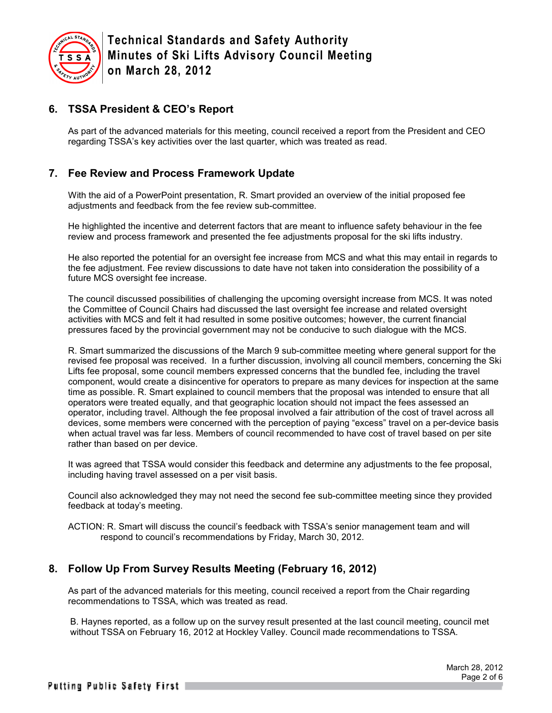

## **6. TSSA President & CEO's Report**

As part of the advanced materials for this meeting, council received a report from the President and CEO regarding TSSA's key activities over the last quarter, which was treated as read.

## **7. Fee Review and Process Framework Update**

With the aid of a PowerPoint presentation, R. Smart provided an overview of the initial proposed fee adjustments and feedback from the fee review sub-committee.

He highlighted the incentive and deterrent factors that are meant to influence safety behaviour in the fee review and process framework and presented the fee adjustments proposal for the ski lifts industry.

He also reported the potential for an oversight fee increase from MCS and what this may entail in regards to the fee adjustment. Fee review discussions to date have not taken into consideration the possibility of a future MCS oversight fee increase.

The council discussed possibilities of challenging the upcoming oversight increase from MCS. It was noted the Committee of Council Chairs had discussed the last oversight fee increase and related oversight activities with MCS and felt it had resulted in some positive outcomes; however, the current financial pressures faced by the provincial government may not be conducive to such dialogue with the MCS.

R. Smart summarized the discussions of the March 9 sub-committee meeting where general support for the revised fee proposal was received. In a further discussion, involving all council members, concerning the Ski Lifts fee proposal, some council members expressed concerns that the bundled fee, including the travel component, would create a disincentive for operators to prepare as many devices for inspection at the same time as possible. R. Smart explained to council members that the proposal was intended to ensure that all operators were treated equally, and that geographic location should not impact the fees assessed an operator, including travel. Although the fee proposal involved a fair attribution of the cost of travel across all devices, some members were concerned with the perception of paying "excess" travel on a per-device basis when actual travel was far less. Members of council recommended to have cost of travel based on per site rather than based on per device.

It was agreed that TSSA would consider this feedback and determine any adjustments to the fee proposal, including having travel assessed on a per visit basis.

Council also acknowledged they may not need the second fee sub-committee meeting since they provided feedback at today's meeting.

ACTION: R. Smart will discuss the council's feedback with TSSA's senior management team and will respond to council's recommendations by Friday, March 30, 2012.

### **8. Follow Up From Survey Results Meeting (February 16, 2012)**

As part of the advanced materials for this meeting, council received a report from the Chair regarding recommendations to TSSA, which was treated as read.

B. Haynes reported, as a follow up on the survey result presented at the last council meeting, council met without TSSA on February 16, 2012 at Hockley Valley. Council made recommendations to TSSA.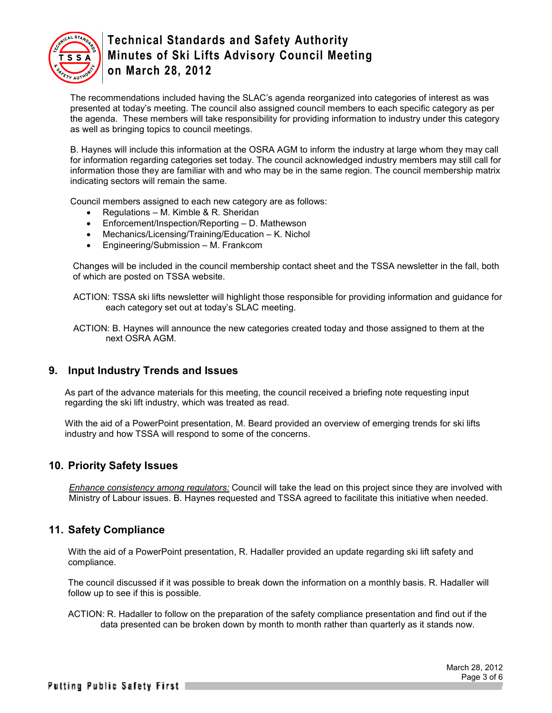

The recommendations included having the SLAC's agenda reorganized into categories of interest as was presented at today's meeting. The council also assigned council members to each specific category as per the agenda. These members will take responsibility for providing information to industry under this category as well as bringing topics to council meetings.

B. Haynes will include this information at the OSRA AGM to inform the industry at large whom they may call for information regarding categories set today. The council acknowledged industry members may still call for information those they are familiar with and who may be in the same region. The council membership matrix indicating sectors will remain the same.

Council members assigned to each new category are as follows:

- Regulations M. Kimble & R. Sheridan
- Enforcement/Inspection/Reporting D. Mathewson
- Mechanics/Licensing/Training/Education K. Nichol
- Engineering/Submission M. Frankcom

Changes will be included in the council membership contact sheet and the TSSA newsletter in the fall, both of which are posted on TSSA website.

ACTION: TSSA ski lifts newsletter will highlight those responsible for providing information and guidance for each category set out at today's SLAC meeting.

ACTION: B. Haynes will announce the new categories created today and those assigned to them at the next OSRA AGM.

### **9. Input Industry Trends and Issues**

As part of the advance materials for this meeting, the council received a briefing note requesting input regarding the ski lift industry, which was treated as read.

With the aid of a PowerPoint presentation, M. Beard provided an overview of emerging trends for ski lifts industry and how TSSA will respond to some of the concerns.

### **10. Priority Safety Issues**

*Enhance consistency among regulators:* Council will take the lead on this project since they are involved with Ministry of Labour issues. B. Haynes requested and TSSA agreed to facilitate this initiative when needed.

### **11. Safety Compliance**

With the aid of a PowerPoint presentation, R. Hadaller provided an update regarding ski lift safety and compliance.

The council discussed if it was possible to break down the information on a monthly basis. R. Hadaller will follow up to see if this is possible.

ACTION: R. Hadaller to follow on the preparation of the safety compliance presentation and find out if the data presented can be broken down by month to month rather than quarterly as it stands now.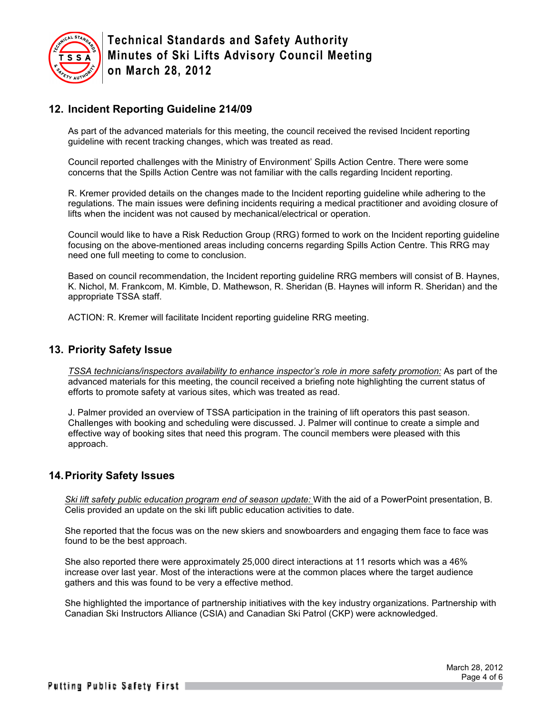

## **12. Incident Reporting Guideline 214/09**

As part of the advanced materials for this meeting, the council received the revised Incident reporting guideline with recent tracking changes, which was treated as read.

Council reported challenges with the Ministry of Environment' Spills Action Centre. There were some concerns that the Spills Action Centre was not familiar with the calls regarding Incident reporting.

R. Kremer provided details on the changes made to the Incident reporting guideline while adhering to the regulations. The main issues were defining incidents requiring a medical practitioner and avoiding closure of lifts when the incident was not caused by mechanical/electrical or operation.

Council would like to have a Risk Reduction Group (RRG) formed to work on the Incident reporting guideline focusing on the above-mentioned areas including concerns regarding Spills Action Centre. This RRG may need one full meeting to come to conclusion.

Based on council recommendation, the Incident reporting guideline RRG members will consist of B. Haynes, K. Nichol, M. Frankcom, M. Kimble, D. Mathewson, R. Sheridan (B. Haynes will inform R. Sheridan) and the appropriate TSSA staff.

ACTION: R. Kremer will facilitate Incident reporting guideline RRG meeting.

#### **13. Priority Safety Issue**

*TSSA technicians/inspectors availability to enhance inspector's role in more safety promotion:* As part of the advanced materials for this meeting, the council received a briefing note highlighting the current status of efforts to promote safety at various sites, which was treated as read.

J. Palmer provided an overview of TSSA participation in the training of lift operators this past season. Challenges with booking and scheduling were discussed. J. Palmer will continue to create a simple and effective way of booking sites that need this program. The council members were pleased with this approach.

### **14. Priority Safety Issues**

*Ski lift safety public education program end of season update:* With the aid of a PowerPoint presentation, B. Celis provided an update on the ski lift public education activities to date.

She reported that the focus was on the new skiers and snowboarders and engaging them face to face was found to be the best approach.

She also reported there were approximately 25,000 direct interactions at 11 resorts which was a 46% increase over last year. Most of the interactions were at the common places where the target audience gathers and this was found to be very a effective method.

She highlighted the importance of partnership initiatives with the key industry organizations. Partnership with Canadian Ski Instructors Alliance (CSIA) and Canadian Ski Patrol (CKP) were acknowledged.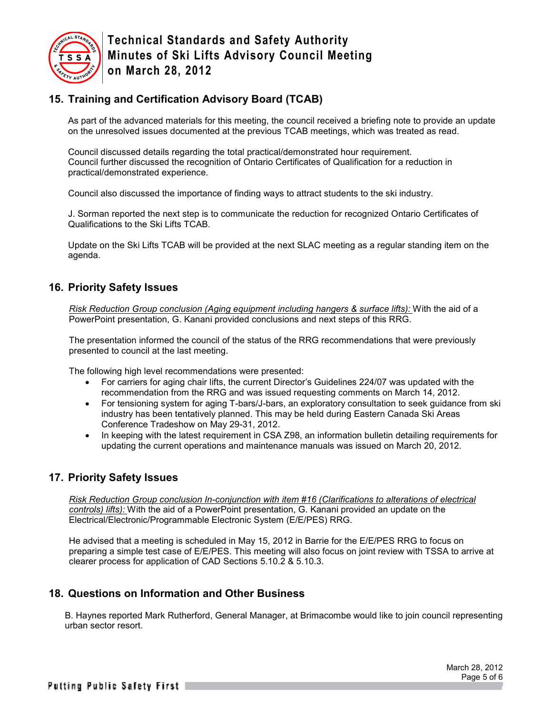

## **15. Training and Certification Advisory Board (TCAB)**

As part of the advanced materials for this meeting, the council received a briefing note to provide an update on the unresolved issues documented at the previous TCAB meetings, which was treated as read.

Council discussed details regarding the total practical/demonstrated hour requirement. Council further discussed the recognition of Ontario Certificates of Qualification for a reduction in practical/demonstrated experience.

Council also discussed the importance of finding ways to attract students to the ski industry.

J. Sorman reported the next step is to communicate the reduction for recognized Ontario Certificates of Qualifications to the Ski Lifts TCAB.

Update on the Ski Lifts TCAB will be provided at the next SLAC meeting as a regular standing item on the agenda.

## **16. Priority Safety Issues**

*Risk Reduction Group conclusion (Aging equipment including hangers & surface lifts):* With the aid of a PowerPoint presentation, G. Kanani provided conclusions and next steps of this RRG.

The presentation informed the council of the status of the RRG recommendations that were previously presented to council at the last meeting.

The following high level recommendations were presented:

- For carriers for aging chair lifts, the current Director's Guidelines 224/07 was updated with the recommendation from the RRG and was issued requesting comments on March 14, 2012.
- For tensioning system for aging T-bars/J-bars, an exploratory consultation to seek guidance from ski industry has been tentatively planned. This may be held during Eastern Canada Ski Areas Conference Tradeshow on May 29-31, 2012.
- In keeping with the latest requirement in CSA Z98, an information bulletin detailing requirements for updating the current operations and maintenance manuals was issued on March 20, 2012.

## **17. Priority Safety Issues**

*Risk Reduction Group conclusion In-conjunction with item #16 (Clarifications to alterations of electrical controls) lifts):* With the aid of a PowerPoint presentation, G. Kanani provided an update on the Electrical/Electronic/Programmable Electronic System (E/E/PES) RRG.

He advised that a meeting is scheduled in May 15, 2012 in Barrie for the E/E/PES RRG to focus on preparing a simple test case of E/E/PES. This meeting will also focus on joint review with TSSA to arrive at clearer process for application of CAD Sections 5.10.2 & 5.10.3.

## **18. Questions on Information and Other Business**

B. Haynes reported Mark Rutherford, General Manager, at Brimacombe would like to join council representing urban sector resort.